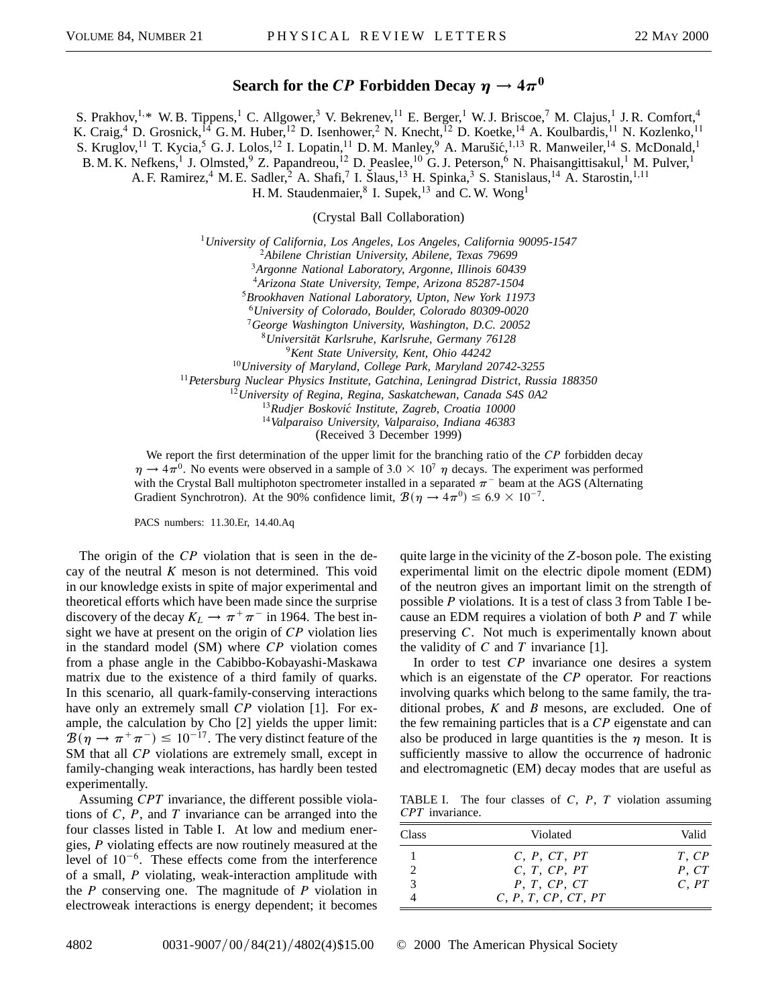## **Search for the** *CP* **Forbidden Decay**  $\eta \rightarrow 4\pi^0$

S. Prakhov,<sup>1,\*</sup> W. B. Tippens,<sup>1</sup> C. Allgower,<sup>3</sup> V. Bekrenev,<sup>11</sup> E. Berger,<sup>1</sup> W. J. Briscoe,<sup>7</sup> M. Clajus,<sup>1</sup> J. R. Comfort,<sup>4</sup> K. Craig,<sup>4</sup> D. Grosnick,<sup>14</sup> G. M. Huber,<sup>12</sup> D. Isenhower,<sup>2</sup> N. Knecht,<sup>12</sup> D. Koetke,<sup>14</sup> A. Koulbardis,<sup>11</sup> N. Kozlenko,<sup>11</sup> S. Kruglov,<sup>11</sup> T. Kycia,<sup>5</sup> G. J. Lolos,<sup>12</sup> I. Lopatin,<sup>11</sup> D. M. Manley,<sup>9</sup> A. Marušić,<sup>1,13</sup> R. Manweiler,<sup>14</sup> S. McDonald,<sup>1</sup> B. M. K. Nefkens,<sup>1</sup> J. Olmsted,<sup>9</sup> Z. Papandreou,<sup>12</sup> D. Peaslee,<sup>10</sup> G. J. Peterson,<sup>6</sup> N. Phaisangittisakul,<sup>1</sup> M. Pulver,<sup>1</sup> A. F. Ramirez,<sup>4</sup> M. E. Sadler,<sup>2</sup> A. Shafi,<sup>7</sup> I. Šlaus,<sup>13</sup> H. Spinka,<sup>3</sup> S. Stanislaus,<sup>14</sup> A. Starostin,<sup>1,11</sup> H. M. Staudenmaier, $8$  I. Supek, $13$  and C. W. Wong<sup>1</sup>

(Crystal Ball Collaboration)

<sup>1</sup>*University of California, Los Angeles, Los Angeles, California 90095-1547*

<sup>2</sup>*Abilene Christian University, Abilene, Texas 79699*

<sup>3</sup>*Argonne National Laboratory, Argonne, Illinois 60439*

<sup>4</sup>*Arizona State University, Tempe, Arizona 85287-1504*

<sup>5</sup>*Brookhaven National Laboratory, Upton, New York 11973*

<sup>6</sup>*University of Colorado, Boulder, Colorado 80309-0020*

<sup>7</sup>*George Washington University, Washington, D.C. 20052*

<sup>8</sup>*Universität Karlsruhe, Karlsruhe, Germany 76128*

<sup>9</sup>*Kent State University, Kent, Ohio 44242*

<sup>10</sup>*University of Maryland, College Park, Maryland 20742-3255*

<sup>11</sup>*Petersburg Nuclear Physics Institute, Gatchina, Leningrad District, Russia 188350*

<sup>12</sup>*University of Regina, Regina, Saskatchewan, Canada S4S 0A2*

<sup>13</sup>*Rudjer Boskovic´ Institute, Zagreb, Croatia 10000*

<sup>14</sup>*Valparaiso University, Valparaiso, Indiana 46383*

(Received 3 December 1999)

We report the first determination of the upper limit for the branching ratio of the *CP* forbidden decay  $\eta \rightarrow 4\pi^0$ . No events were observed in a sample of 3.0  $\times$  10<sup>7</sup>  $\eta$  decays. The experiment was performed with the Crystal Ball multiphoton spectrometer installed in a separated  $\pi$ <sup>-</sup> beam at the AGS (Alternating Gradient Synchrotron). At the 90% confidence limit,  $\mathcal{B}(\eta \to 4\pi^0) \leq 6.9 \times 10^{-7}$ .

PACS numbers: 11.30.Er, 14.40.Aq

The origin of the *CP* violation that is seen in the decay of the neutral *K* meson is not determined. This void in our knowledge exists in spite of major experimental and theoretical efforts which have been made since the surprise discovery of the decay  $K_L \rightarrow \pi^+ \pi^-$  in 1964. The best insight we have at present on the origin of *CP* violation lies in the standard model (SM) where *CP* violation comes from a phase angle in the Cabibbo-Kobayashi-Maskawa matrix due to the existence of a third family of quarks. In this scenario, all quark-family-conserving interactions have only an extremely small *CP* violation [1]. For example, the calculation by Cho [2] yields the upper limit:  $\mathcal{B}(\eta \to \pi^+ \pi^-) \leq 10^{-17}$ . The very distinct feature of the SM that all *CP* violations are extremely small, except in family-changing weak interactions, has hardly been tested experimentally.

Assuming *CPT* invariance, the different possible violations of *C*, *P*, and *T* invariance can be arranged into the four classes listed in Table I. At low and medium energies, *P* violating effects are now routinely measured at the level of  $10^{-6}$ . These effects come from the interference of a small, *P* violating, weak-interaction amplitude with the *P* conserving one. The magnitude of *P* violation in electroweak interactions is energy dependent; it becomes

quite large in the vicinity of the *Z*-boson pole. The existing experimental limit on the electric dipole moment (EDM) of the neutron gives an important limit on the strength of possible *P* violations. It is a test of class 3 from Table I because an EDM requires a violation of both *P* and *T* while preserving *C*. Not much is experimentally known about the validity of  $C$  and  $T$  invariance [1].

In order to test *CP* invariance one desires a system which is an eigenstate of the *CP* operator. For reactions involving quarks which belong to the same family, the traditional probes, *K* and *B* mesons, are excluded. One of the few remaining particles that is a *CP* eigenstate and can also be produced in large quantities is the  $\eta$  meson. It is sufficiently massive to allow the occurrence of hadronic and electromagnetic (EM) decay modes that are useful as

TABLE I. The four classes of *C*, *P*, *T* violation assuming *CPT* invariance.

| <b>Class</b> | Violated            | Valid |
|--------------|---------------------|-------|
|              | C, P, CT, PT        | T, CP |
|              | C, T, CP, PT        | P.CT  |
| 3            | P, T, CP, CT        | C, PT |
|              | C, P, T, CP, CT, PT |       |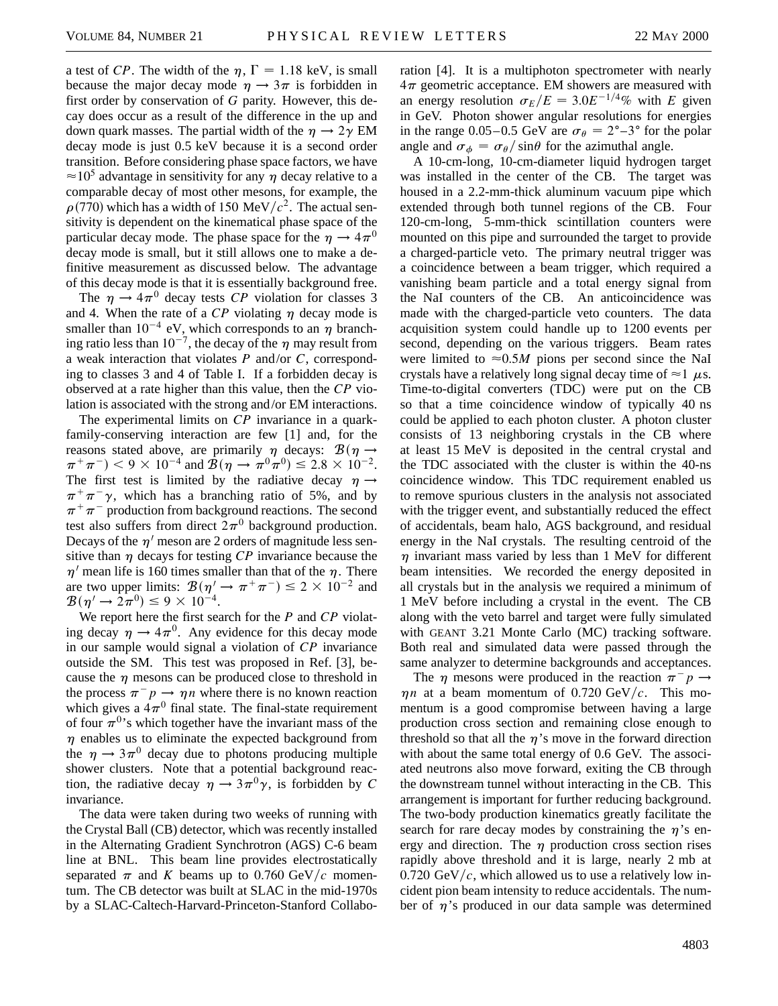a test of *CP*. The width of the  $\eta$ ,  $\Gamma = 1.18$  keV, is small because the major decay mode  $\eta \rightarrow 3\pi$  is forbidden in first order by conservation of *G* parity. However, this decay does occur as a result of the difference in the up and down quark masses. The partial width of the  $\eta \rightarrow 2\gamma$  EM decay mode is just 0.5 keV because it is a second order transition. Before considering phase space factors, we have  $\approx 10^5$  advantage in sensitivity for any  $\eta$  decay relative to a comparable decay of most other mesons, for example, the  $\rho$ (770) which has a width of 150 MeV/ $c^2$ . The actual sensitivity is dependent on the kinematical phase space of the particular decay mode. The phase space for the  $\eta \rightarrow 4\pi^{0}$ decay mode is small, but it still allows one to make a definitive measurement as discussed below. The advantage of this decay mode is that it is essentially background free.

The  $\eta \rightarrow 4\pi^0$  decay tests *CP* violation for classes 3 and 4. When the rate of a  $CP$  violating  $\eta$  decay mode is smaller than  $10^{-4}$  eV, which corresponds to an  $\eta$  branching ratio less than  $10^{-7}$ , the decay of the  $\eta$  may result from a weak interaction that violates *P* and/or *C*, corresponding to classes 3 and 4 of Table I. If a forbidden decay is observed at a rate higher than this value, then the *CP* violation is associated with the strong and/or EM interactions.

The experimental limits on *CP* invariance in a quarkfamily-conserving interaction are few [1] and, for the reasons stated above, are primarily  $\eta$  decays:  $\mathcal{B}(\eta \rightarrow$  $(\pi^+ \pi^-)$  < 9 × 10<sup>-4</sup> and  $\mathcal{B}(\eta \to \pi^0 \pi^0) \le 2.8 \times 10^{-2}$ . The first test is limited by the radiative decay  $\eta \rightarrow$  $\pi^{+}\pi^{-}\gamma$ , which has a branching ratio of 5%, and by  $\pi^+\pi^-$  production from background reactions. The second test also suffers from direct  $2\pi^0$  background production. Decays of the  $\eta'$  meson are 2 orders of magnitude less sensitive than  $\eta$  decays for testing *CP* invariance because the  $\eta'$  mean life is 160 times smaller than that of the  $\eta$ . There are two upper limits:  $\mathcal{B}(\eta' \to \pi^+ \pi^-) \leq 2 \times 10^{-2}$  and  $\mathcal{B}(\eta' \to 2\pi^0) \leq 9 \times 10^{-4}.$ 

We report here the first search for the *P* and *CP* violating decay  $\eta \rightarrow 4\pi^0$ . Any evidence for this decay mode in our sample would signal a violation of *CP* invariance outside the SM. This test was proposed in Ref. [3], because the  $\eta$  mesons can be produced close to threshold in the process  $\pi^- p \to \eta n$  where there is no known reaction which gives a  $4\pi^0$  final state. The final-state requirement of four  $\pi^{0}$ 's which together have the invariant mass of the  $\eta$  enables us to eliminate the expected background from the  $\eta \rightarrow 3\pi^0$  decay due to photons producing multiple shower clusters. Note that a potential background reaction, the radiative decay  $\eta \rightarrow 3\pi^0 \gamma$ , is forbidden by *C* invariance.

The data were taken during two weeks of running with the Crystal Ball (CB) detector, which was recently installed in the Alternating Gradient Synchrotron (AGS) C-6 beam line at BNL. This beam line provides electrostatically separated  $\pi$  and *K* beams up to 0.760 GeV/c momentum. The CB detector was built at SLAC in the mid-1970s by a SLAC-Caltech-Harvard-Princeton-Stanford Collaboration [4]. It is a multiphoton spectrometer with nearly  $4\pi$  geometric acceptance. EM showers are measured with an energy resolution  $\sigma_E/E = 3.0E^{-1/4}\%$  with *E* given in GeV. Photon shower angular resolutions for energies in the range 0.05–0.5 GeV are  $\sigma_{\theta} = 2^{\circ} - 3^{\circ}$  for the polar angle and  $\sigma_{\phi} = \frac{\sigma_{\theta}}{\sin \theta}$  for the azimuthal angle.

A 10-cm-long, 10-cm-diameter liquid hydrogen target was installed in the center of the CB. The target was housed in a 2.2-mm-thick aluminum vacuum pipe which extended through both tunnel regions of the CB. Four 120-cm-long, 5-mm-thick scintillation counters were mounted on this pipe and surrounded the target to provide a charged-particle veto. The primary neutral trigger was a coincidence between a beam trigger, which required a vanishing beam particle and a total energy signal from the NaI counters of the CB. An anticoincidence was made with the charged-particle veto counters. The data acquisition system could handle up to 1200 events per second, depending on the various triggers. Beam rates were limited to  $\approx 0.5M$  pions per second since the NaI crystals have a relatively long signal decay time of  $\approx$  1  $\mu$ s. Time-to-digital converters (TDC) were put on the CB so that a time coincidence window of typically 40 ns could be applied to each photon cluster. A photon cluster consists of 13 neighboring crystals in the CB where at least 15 MeV is deposited in the central crystal and the TDC associated with the cluster is within the 40-ns coincidence window. This TDC requirement enabled us to remove spurious clusters in the analysis not associated with the trigger event, and substantially reduced the effect of accidentals, beam halo, AGS background, and residual energy in the NaI crystals. The resulting centroid of the  $\eta$  invariant mass varied by less than 1 MeV for different beam intensities. We recorded the energy deposited in all crystals but in the analysis we required a minimum of 1 MeV before including a crystal in the event. The CB along with the veto barrel and target were fully simulated with GEANT 3.21 Monte Carlo (MC) tracking software. Both real and simulated data were passed through the same analyzer to determine backgrounds and acceptances.

The  $\eta$  mesons were produced in the reaction  $\pi^- p \rightarrow$  $\eta n$  at a beam momentum of 0.720 GeV/c. This momentum is a good compromise between having a large production cross section and remaining close enough to threshold so that all the  $\eta$ 's move in the forward direction with about the same total energy of 0.6 GeV. The associated neutrons also move forward, exiting the CB through the downstream tunnel without interacting in the CB. This arrangement is important for further reducing background. The two-body production kinematics greatly facilitate the search for rare decay modes by constraining the  $\eta$ 's energy and direction. The  $\eta$  production cross section rises rapidly above threshold and it is large, nearly 2 mb at  $0.720 \text{ GeV}/c$ , which allowed us to use a relatively low incident pion beam intensity to reduce accidentals. The number of  $\eta$ 's produced in our data sample was determined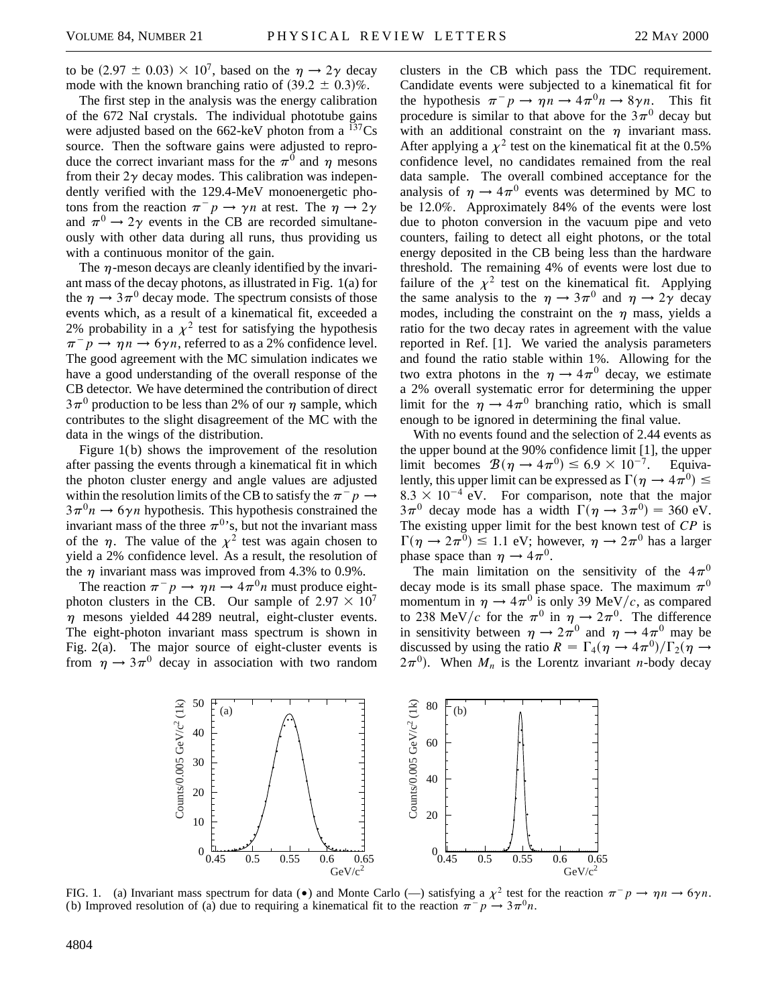to be  $(2.97 \pm 0.03) \times 10^7$ , based on the  $\eta \rightarrow 2\gamma$  decay mode with the known branching ratio of  $(39.2 \pm 0.3)\%$ .

The first step in the analysis was the energy calibration of the 672 NaI crystals. The individual phototube gains were adjusted based on the  $662$ -keV photon from a  $^{137}Cs$ source. Then the software gains were adjusted to reproduce the correct invariant mass for the  $\pi^0$  and  $\eta$  mesons from their  $2\gamma$  decay modes. This calibration was independently verified with the 129.4-MeV monoenergetic photons from the reaction  $\pi^- p \to \gamma n$  at rest. The  $\eta \to 2\gamma$ and  $\pi^0 \rightarrow 2\gamma$  events in the CB are recorded simultaneously with other data during all runs, thus providing us with a continuous monitor of the gain.

The  $\eta$ -meson decays are cleanly identified by the invariant mass of the decay photons, as illustrated in Fig. 1(a) for the  $\eta \rightarrow 3\pi^0$  decay mode. The spectrum consists of those events which, as a result of a kinematical fit, exceeded a 2% probability in a  $\chi^2$  test for satisfying the hypothesis  $\pi^- p \rightarrow \eta n \rightarrow 6\gamma n$ , referred to as a 2% confidence level. The good agreement with the MC simulation indicates we have a good understanding of the overall response of the CB detector. We have determined the contribution of direct  $3\pi^0$  production to be less than 2% of our  $\eta$  sample, which contributes to the slight disagreement of the MC with the data in the wings of the distribution.

Figure 1(b) shows the improvement of the resolution after passing the events through a kinematical fit in which the photon cluster energy and angle values are adjusted within the resolution limits of the CB to satisfy the  $\pi^- p \rightarrow$  $3\pi^{0}n \rightarrow 6\gamma n$  hypothesis. This hypothesis constrained the invariant mass of the three  $\pi^{0}$ 's, but not the invariant mass of the  $\eta$ . The value of the  $\chi^2$  test was again chosen to yield a 2% confidence level. As a result, the resolution of the  $\eta$  invariant mass was improved from 4.3% to 0.9%.

The reaction  $\pi^- p \to \eta n \to 4\pi^0 n$  must produce eightphoton clusters in the CB. Our sample of  $2.97 \times 10^7$  $\eta$  mesons yielded 44 289 neutral, eight-cluster events. The eight-photon invariant mass spectrum is shown in Fig. 2(a). The major source of eight-cluster events is from  $\eta \rightarrow 3\pi^0$  decay in association with two random clusters in the CB which pass the TDC requirement. Candidate events were subjected to a kinematical fit for the hypothesis  $\pi^- p \to \eta \bar{n} \to 4\pi^0 n \to 8\gamma n$ . This fit procedure is similar to that above for the  $3\pi^0$  decay but with an additional constraint on the  $\eta$  invariant mass. After applying a  $\chi^2$  test on the kinematical fit at the 0.5% confidence level, no candidates remained from the real data sample. The overall combined acceptance for the analysis of  $\eta \rightarrow 4\pi^0$  events was determined by MC to be 12.0%. Approximately 84% of the events were lost due to photon conversion in the vacuum pipe and veto counters, failing to detect all eight photons, or the total energy deposited in the CB being less than the hardware threshold. The remaining 4% of events were lost due to failure of the  $\chi^2$  test on the kinematical fit. Applying the same analysis to the  $\eta \rightarrow 3\pi^0$  and  $\eta \rightarrow 2\gamma$  decay modes, including the constraint on the  $\eta$  mass, yields a ratio for the two decay rates in agreement with the value reported in Ref. [1]. We varied the analysis parameters and found the ratio stable within 1%. Allowing for the two extra photons in the  $\eta \rightarrow 4\pi^0$  decay, we estimate a 2% overall systematic error for determining the upper limit for the  $\eta \rightarrow 4\pi^0$  branching ratio, which is small enough to be ignored in determining the final value.

With no events found and the selection of 2.44 events as the upper bound at the 90% confidence limit [1], the upper limit becomes  $\mathcal{B}(\eta \to 4\pi^0) \leq 6.9 \times 10^{-7}$ . Equivalently, this upper limit can be expressed as  $\Gamma(\eta \to 4\pi^0) \leq$  $8.3 \times 10^{-4}$  eV. For comparison, note that the major  $3\pi^0$  decay mode has a width  $\Gamma(\eta \to 3\pi^0) = 360$  eV. The existing upper limit for the best known test of *CP* is  $\Gamma(\eta \to 2\pi^0) \le 1.1$  eV; however,  $\eta \to 2\pi^0$  has a larger phase space than  $\eta \rightarrow 4\pi^0$ .

The main limitation on the sensitivity of the  $4\pi^0$ decay mode is its small phase space. The maximum  $\pi^0$ momentum in  $\eta \rightarrow 4\pi^0$  is only 39 MeV/c, as compared to 238 MeV/c for the  $\pi^0$  in  $\eta \to 2\pi^0$ . The difference in sensitivity between  $\eta \rightarrow 2\pi^0$  and  $\eta \rightarrow 4\pi^0$  may be discussed by using the ratio  $R = \Gamma_4(\eta \to 4\pi^0)/\Gamma_2(\eta \to 4\pi^0)$  $(2\pi^0)$ . When  $M_n$  is the Lorentz invariant *n*-body decay



FIG. 1. (a) Invariant mass spectrum for data ( $\bullet$ ) and Monte Carlo (—) satisfying a  $\chi^2$  test for the reaction  $\pi^- p \to \eta n \to 6\gamma n$ . (b) Improved resolution of (a) due to requiring a kinematical fit to the reaction  $\pi^- p \to 3\pi^0 n$ .